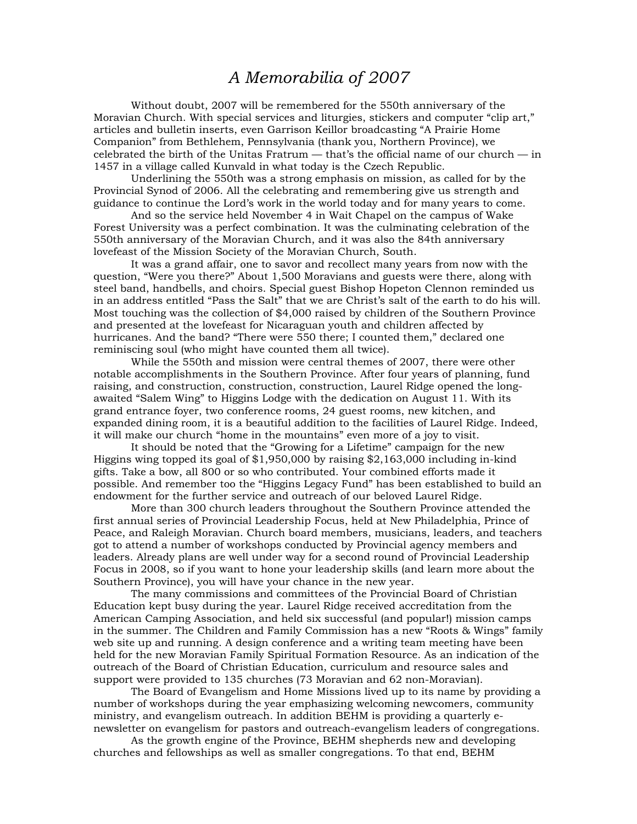## *A Memorabilia of 2007*

 Without doubt, 2007 will be remembered for the 550th anniversary of the Moravian Church. With special services and liturgies, stickers and computer "clip art," articles and bulletin inserts, even Garrison Keillor broadcasting "A Prairie Home Companion" from Bethlehem, Pennsylvania (thank you, Northern Province), we celebrated the birth of the Unitas Fratrum — that's the official name of our church — in 1457 in a village called Kunvald in what today is the Czech Republic.

 Underlining the 550th was a strong emphasis on mission, as called for by the Provincial Synod of 2006. All the celebrating and remembering give us strength and guidance to continue the Lord's work in the world today and for many years to come.

 And so the service held November 4 in Wait Chapel on the campus of Wake Forest University was a perfect combination. It was the culminating celebration of the 550th anniversary of the Moravian Church, and it was also the 84th anniversary lovefeast of the Mission Society of the Moravian Church, South.

 It was a grand affair, one to savor and recollect many years from now with the question, "Were you there?" About 1,500 Moravians and guests were there, along with steel band, handbells, and choirs. Special guest Bishop Hopeton Clennon reminded us in an address entitled "Pass the Salt" that we are Christ's salt of the earth to do his will. Most touching was the collection of \$4,000 raised by children of the Southern Province and presented at the lovefeast for Nicaraguan youth and children affected by hurricanes. And the band? "There were 550 there; I counted them," declared one reminiscing soul (who might have counted them all twice).

 While the 550th and mission were central themes of 2007, there were other notable accomplishments in the Southern Province. After four years of planning, fund raising, and construction, construction, construction, Laurel Ridge opened the longawaited "Salem Wing" to Higgins Lodge with the dedication on August 11. With its grand entrance foyer, two conference rooms, 24 guest rooms, new kitchen, and expanded dining room, it is a beautiful addition to the facilities of Laurel Ridge. Indeed, it will make our church "home in the mountains" even more of a joy to visit.

 It should be noted that the "Growing for a Lifetime" campaign for the new Higgins wing topped its goal of \$1,950,000 by raising \$2,163,000 including in-kind gifts. Take a bow, all 800 or so who contributed. Your combined efforts made it possible. And remember too the "Higgins Legacy Fund" has been established to build an endowment for the further service and outreach of our beloved Laurel Ridge.

 More than 300 church leaders throughout the Southern Province attended the first annual series of Provincial Leadership Focus, held at New Philadelphia, Prince of Peace, and Raleigh Moravian. Church board members, musicians, leaders, and teachers got to attend a number of workshops conducted by Provincial agency members and leaders. Already plans are well under way for a second round of Provincial Leadership Focus in 2008, so if you want to hone your leadership skills (and learn more about the Southern Province), you will have your chance in the new year.

 The many commissions and committees of the Provincial Board of Christian Education kept busy during the year. Laurel Ridge received accreditation from the American Camping Association, and held six successful (and popular!) mission camps in the summer. The Children and Family Commission has a new "Roots & Wings" family web site up and running. A design conference and a writing team meeting have been held for the new Moravian Family Spiritual Formation Resource. As an indication of the outreach of the Board of Christian Education, curriculum and resource sales and support were provided to 135 churches (73 Moravian and 62 non-Moravian).

 The Board of Evangelism and Home Missions lived up to its name by providing a number of workshops during the year emphasizing welcoming newcomers, community ministry, and evangelism outreach. In addition BEHM is providing a quarterly enewsletter on evangelism for pastors and outreach-evangelism leaders of congregations.

 As the growth engine of the Province, BEHM shepherds new and developing churches and fellowships as well as smaller congregations. To that end, BEHM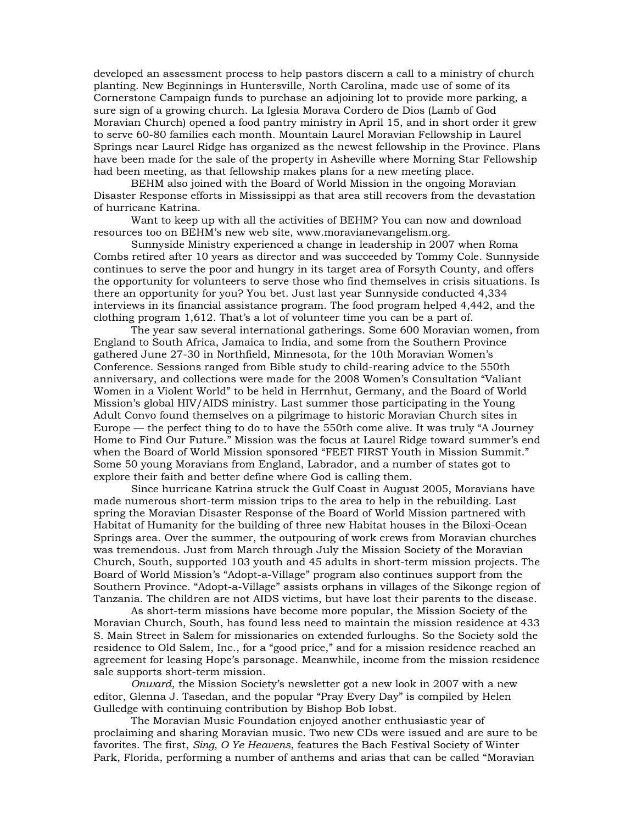developed an assessment process to help pastors discern a call to a ministry of church planting. New Beginnings in Huntersville, North Carolina, made use of some of its Cornerstone Campaign funds to purchase an adjoining lot to provide more parking, a sure sign of a growing church. La Iglesia Morava Cordero de Dios (Lamb of God Moravian Church) opened a food pantry ministry in April 15, and in short order it grew to serve 60-80 families each month. Mountain Laurel Moravian Fellowship in Laurel Springs near Laurel Ridge has organized as the newest fellowship in the Province. Plans have been made for the sale of the property in Asheville where Morning Star Fellowship had been meeting, as that fellowship makes plans for a new meeting place.

 BEHM also joined with the Board of World Mission in the ongoing Moravian Disaster Response efforts in Mississippi as that area still recovers from the devastation of hurricane Katrina.

 Want to keep up with all the activities of BEHM? You can now and download resources too on BEHM's new web site, www.moravianevangelism.org.

 Sunnyside Ministry experienced a change in leadership in 2007 when Roma Combs retired after 10 years as director and was succeeded by Tommy Cole. Sunnyside continues to serve the poor and hungry in its target area of Forsyth County, and offers the opportunity for volunteers to serve those who find themselves in crisis situations. Is there an opportunity for you? You bet. Just last year Sunnyside conducted 4,334 interviews in its financial assistance program. The food program helped 4,442, and the clothing program 1,612. That's a lot of volunteer time you can be a part of.

 The year saw several international gatherings. Some 600 Moravian women, from England to South Africa, Jamaica to India, and some from the Southern Province gathered June 27-30 in Northfield, Minnesota, for the 10th Moravian Women's Conference. Sessions ranged from Bible study to child-rearing advice to the 550th anniversary, and collections were made for the 2008 Women's Consultation "Valiant Women in a Violent World" to be held in Herrnhut, Germany, and the Board of World Mission's global HIV/AIDS ministry. Last summer those participating in the Young Adult Convo found themselves on a pilgrimage to historic Moravian Church sites in Europe — the perfect thing to do to have the 550th come alive. It was truly "A Journey Home to Find Our Future." Mission was the focus at Laurel Ridge toward summer's end when the Board of World Mission sponsored "FEET FIRST Youth in Mission Summit." Some 50 young Moravians from England, Labrador, and a number of states got to explore their faith and better define where God is calling them.

 Since hurricane Katrina struck the Gulf Coast in August 2005, Moravians have made numerous short-term mission trips to the area to help in the rebuilding. Last spring the Moravian Disaster Response of the Board of World Mission partnered with Habitat of Humanity for the building of three new Habitat houses in the Biloxi-Ocean Springs area. Over the summer, the outpouring of work crews from Moravian churches was tremendous. Just from March through July the Mission Society of the Moravian Church, South, supported 103 youth and 45 adults in short-term mission projects. The Board of World Mission's "Adopt-a-Village" program also continues support from the Southern Province. "Adopt-a-Village" assists orphans in villages of the Sikonge region of Tanzania. The children are not AIDS victims, but have lost their parents to the disease.

 As short-term missions have become more popular, the Mission Society of the Moravian Church, South, has found less need to maintain the mission residence at 433 S. Main Street in Salem for missionaries on extended furloughs. So the Society sold the residence to Old Salem, Inc., for a "good price," and for a mission residence reached an agreement for leasing Hope's parsonage. Meanwhile, income from the mission residence sale supports short-term mission.

*Onward*, the Mission Society's newsletter got a new look in 2007 with a new editor, Glenna J. Tasedan, and the popular "Pray Every Day" is compiled by Helen Gulledge with continuing contribution by Bishop Bob Iobst.

 The Moravian Music Foundation enjoyed another enthusiastic year of proclaiming and sharing Moravian music. Two new CDs were issued and are sure to be favorites. The first, *Sing, O Ye Heavens*, features the Bach Festival Society of Winter Park, Florida, performing a number of anthems and arias that can be called "Moravian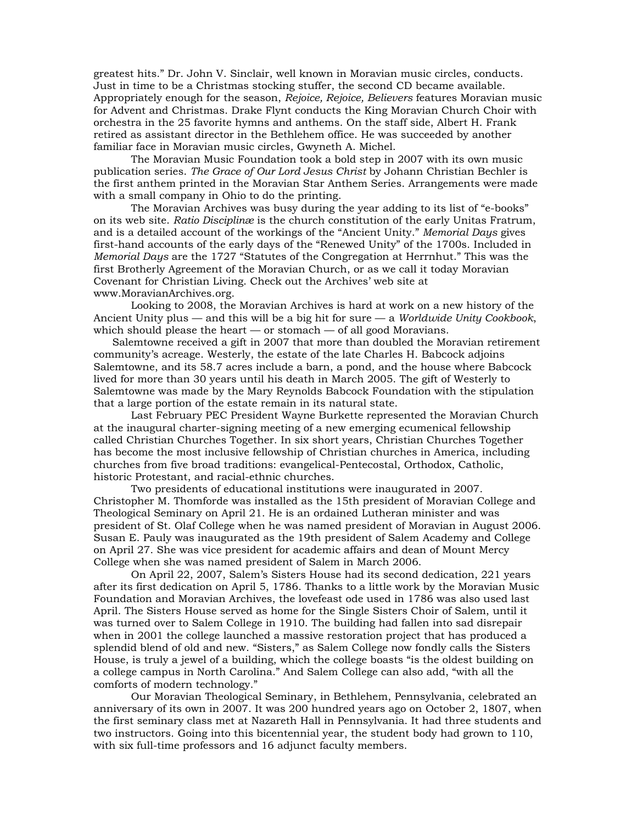greatest hits." Dr. John V. Sinclair, well known in Moravian music circles, conducts. Just in time to be a Christmas stocking stuffer, the second CD became available. Appropriately enough for the season, *Rejoice, Rejoice, Believers* features Moravian music for Advent and Christmas. Drake Flynt conducts the King Moravian Church Choir with orchestra in the 25 favorite hymns and anthems. On the staff side, Albert H. Frank retired as assistant director in the Bethlehem office. He was succeeded by another familiar face in Moravian music circles, Gwyneth A. Michel.

 The Moravian Music Foundation took a bold step in 2007 with its own music publication series. *The Grace of Our Lord Jesus Christ* by Johann Christian Bechler is the first anthem printed in the Moravian Star Anthem Series. Arrangements were made with a small company in Ohio to do the printing.

 The Moravian Archives was busy during the year adding to its list of "e-books" on its web site. *Ratio Disciplinæ* is the church constitution of the early Unitas Fratrum, and is a detailed account of the workings of the "Ancient Unity." *Memorial Days* gives first-hand accounts of the early days of the "Renewed Unity" of the 1700s. Included in *Memorial Days* are the 1727 "Statutes of the Congregation at Herrnhut." This was the first Brotherly Agreement of the Moravian Church, or as we call it today Moravian Covenant for Christian Living. Check out the Archives' web site at www.MoravianArchives.org.

 Looking to 2008, the Moravian Archives is hard at work on a new history of the Ancient Unity plus — and this will be a big hit for sure — a *Worldwide Unity Cookbook*, which should please the heart — or stomach — of all good Moravians.

 Salemtowne received a gift in 2007 that more than doubled the Moravian retirement community's acreage. Westerly, the estate of the late Charles H. Babcock adjoins Salemtowne, and its 58.7 acres include a barn, a pond, and the house where Babcock lived for more than 30 years until his death in March 2005. The gift of Westerly to Salemtowne was made by the Mary Reynolds Babcock Foundation with the stipulation that a large portion of the estate remain in its natural state.

 Last February PEC President Wayne Burkette represented the Moravian Church at the inaugural charter-signing meeting of a new emerging ecumenical fellowship called Christian Churches Together. In six short years, Christian Churches Together has become the most inclusive fellowship of Christian churches in America, including churches from five broad traditions: evangelical-Pentecostal, Orthodox, Catholic, historic Protestant, and racial-ethnic churches.

 Two presidents of educational institutions were inaugurated in 2007. Christopher M. Thomforde was installed as the 15th president of Moravian College and Theological Seminary on April 21. He is an ordained Lutheran minister and was president of St. Olaf College when he was named president of Moravian in August 2006. Susan E. Pauly was inaugurated as the 19th president of Salem Academy and College on April 27. She was vice president for academic affairs and dean of Mount Mercy College when she was named president of Salem in March 2006.

 On April 22, 2007, Salem's Sisters House had its second dedication, 221 years after its first dedication on April 5, 1786. Thanks to a little work by the Moravian Music Foundation and Moravian Archives, the lovefeast ode used in 1786 was also used last April. The Sisters House served as home for the Single Sisters Choir of Salem, until it was turned over to Salem College in 1910. The building had fallen into sad disrepair when in 2001 the college launched a massive restoration project that has produced a splendid blend of old and new. "Sisters," as Salem College now fondly calls the Sisters House, is truly a jewel of a building, which the college boasts "is the oldest building on a college campus in North Carolina." And Salem College can also add, "with all the comforts of modern technology."

 Our Moravian Theological Seminary, in Bethlehem, Pennsylvania, celebrated an anniversary of its own in 2007. It was 200 hundred years ago on October 2, 1807, when the first seminary class met at Nazareth Hall in Pennsylvania. It had three students and two instructors. Going into this bicentennial year, the student body had grown to 110, with six full-time professors and 16 adjunct faculty members.